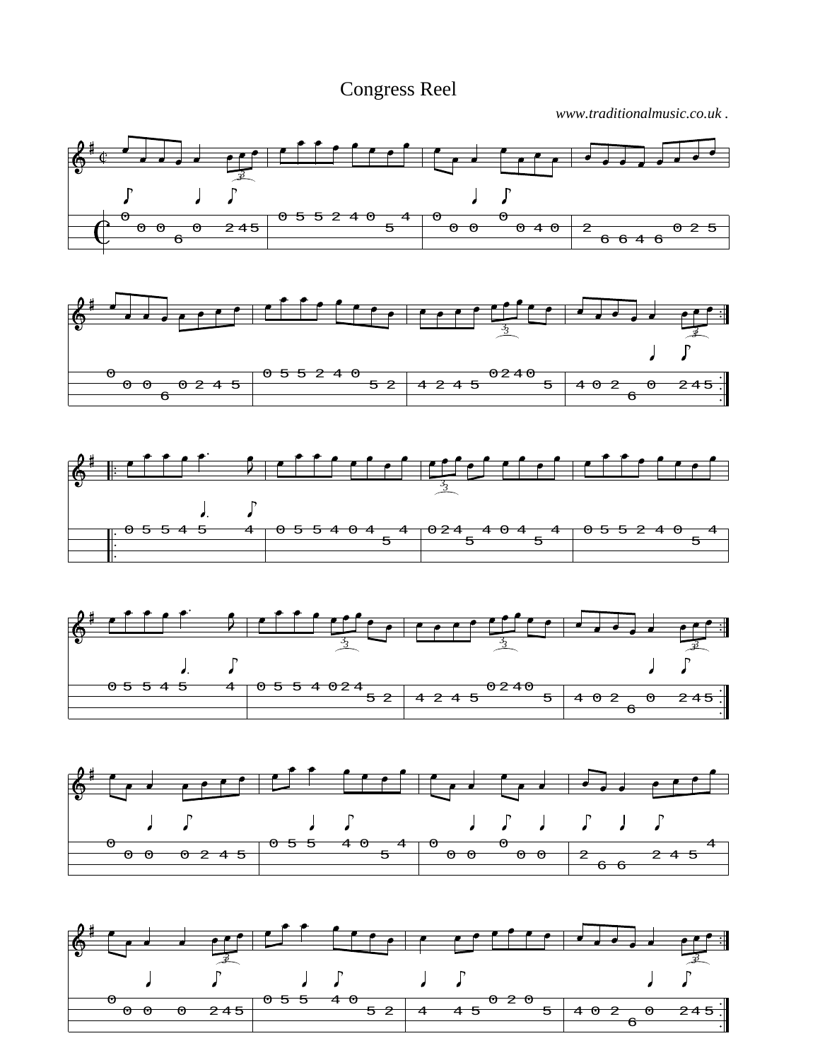Congress Reel

*www.traditionalmusic.co.uk .*